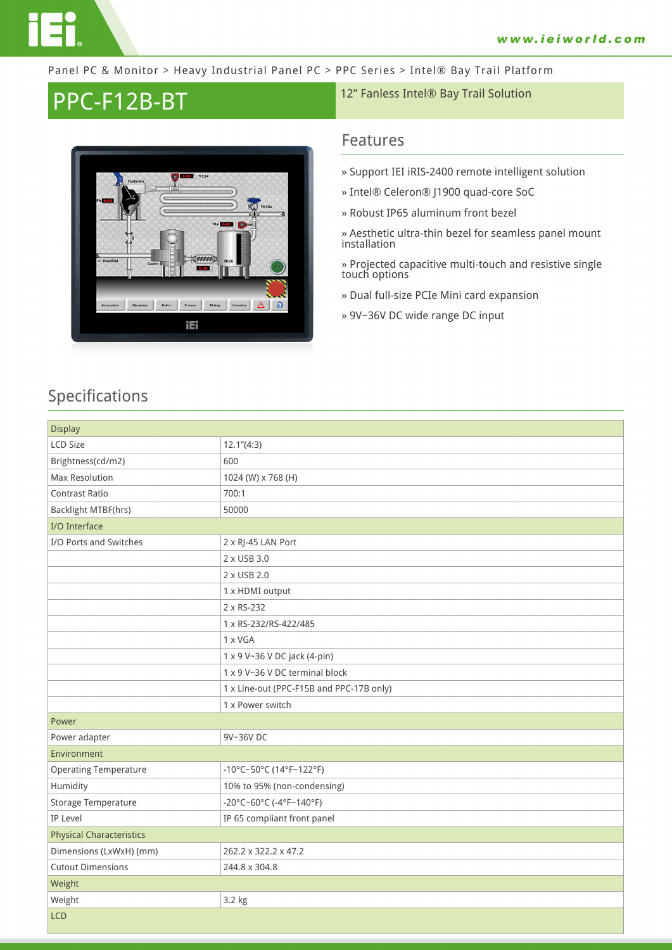

#### Panel PC & Monitor > Heavy Industrial Panel PC > PPC Series > Intel® Bay Trail Platform

# PPC-F12B-BT 12" Fanless Intel® Bay Trail Solution



### **Features**

- **» Support IEI iRIS-2400 remote intelligent solution**
- **» Intel® Celeron® J1900 quad-core SoC**
- **» Robust IP65 aluminum front bezel**

**» Aesthetic ultra-thin bezel for seamless panel mount installation**

**» Projected capacitive multi-touch and resistive single touch options**

**» Dual full-size PCIe Mini card expansion**

**» 9V~36V DC wide range DC input**

## **Specifications**

| <b>Display</b>                  |                                          |
|---------------------------------|------------------------------------------|
| <b>LCD Size</b>                 | 12.1''(4:3)                              |
| Brightness(cd/m2)               | 600                                      |
| Max Resolution                  | 1024 (W) x 768 (H)                       |
| <b>Contrast Ratio</b>           | 700:1                                    |
| <b>Backlight MTBF(hrs)</b>      | 50000                                    |
| I/O Interface                   |                                          |
| I/O Ports and Switches          | 2 x RJ-45 LAN Port                       |
|                                 | 2 x USB 3.0                              |
|                                 | 2 x USB 2.0                              |
|                                 | 1 x HDMI output                          |
|                                 | 2 x RS-232                               |
|                                 | 1 x RS-232/RS-422/485                    |
|                                 | 1 x VGA                                  |
|                                 | 1 x 9 V~36 V DC jack (4-pin)             |
|                                 | 1 x 9 V~36 V DC terminal block           |
|                                 | 1 x Line-out (PPC-F15B and PPC-17B only) |
|                                 | 1 x Power switch                         |
| Power                           |                                          |
| Power adapter                   | 9V~36V DC                                |
| Environment                     |                                          |
| <b>Operating Temperature</b>    | -10°C~50°C (14°F~122°F)                  |
| Humidity                        | 10% to 95% (non-condensing)              |
| Storage Temperature             | -20°C~60°C (-4°F~140°F)                  |
| <b>IP Level</b>                 | IP 65 compliant front panel              |
| <b>Physical Characteristics</b> |                                          |
| Dimensions (LxWxH) (mm)         | 262.2 x 322.2 x 47.2                     |
| <b>Cutout Dimensions</b>        | 244.8 x 304.8                            |
| Weight                          |                                          |
| Weight                          | 3.2 kg                                   |
| <b>LCD</b>                      |                                          |